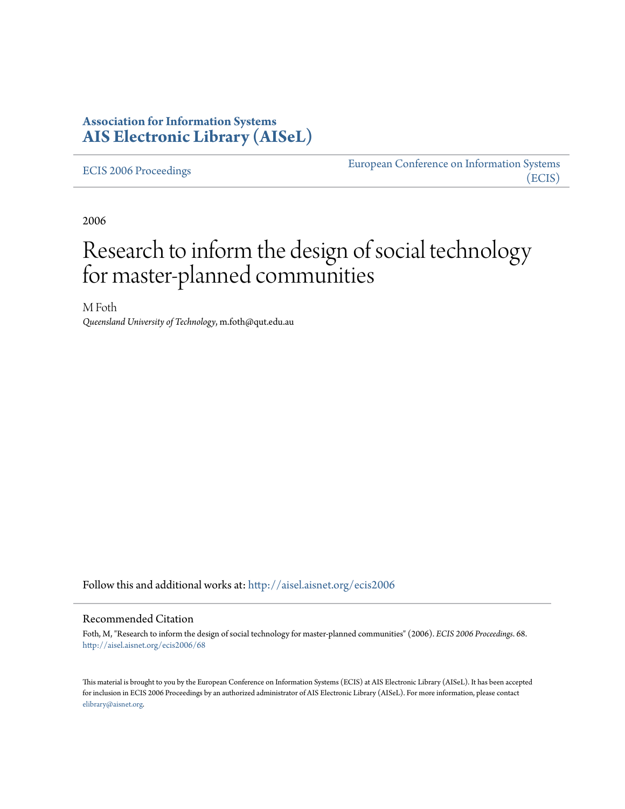## **Association for Information Systems [AIS Electronic Library \(AISeL\)](http://aisel.aisnet.org?utm_source=aisel.aisnet.org%2Fecis2006%2F68&utm_medium=PDF&utm_campaign=PDFCoverPages)**

[ECIS 2006 Proceedings](http://aisel.aisnet.org/ecis2006?utm_source=aisel.aisnet.org%2Fecis2006%2F68&utm_medium=PDF&utm_campaign=PDFCoverPages)

[European Conference on Information Systems](http://aisel.aisnet.org/ecis?utm_source=aisel.aisnet.org%2Fecis2006%2F68&utm_medium=PDF&utm_campaign=PDFCoverPages) [\(ECIS\)](http://aisel.aisnet.org/ecis?utm_source=aisel.aisnet.org%2Fecis2006%2F68&utm_medium=PDF&utm_campaign=PDFCoverPages)

2006

# Research to inform the design of social technology for master-planned communities

M Foth *Queensland University of Technology*, m.foth@qut.edu.au

Follow this and additional works at: [http://aisel.aisnet.org/ecis2006](http://aisel.aisnet.org/ecis2006?utm_source=aisel.aisnet.org%2Fecis2006%2F68&utm_medium=PDF&utm_campaign=PDFCoverPages)

#### Recommended Citation

Foth, M, "Research to inform the design of social technology for master-planned communities" (2006). *ECIS 2006 Proceedings*. 68. [http://aisel.aisnet.org/ecis2006/68](http://aisel.aisnet.org/ecis2006/68?utm_source=aisel.aisnet.org%2Fecis2006%2F68&utm_medium=PDF&utm_campaign=PDFCoverPages)

This material is brought to you by the European Conference on Information Systems (ECIS) at AIS Electronic Library (AISeL). It has been accepted for inclusion in ECIS 2006 Proceedings by an authorized administrator of AIS Electronic Library (AISeL). For more information, please contact [elibrary@aisnet.org.](mailto:elibrary@aisnet.org%3E)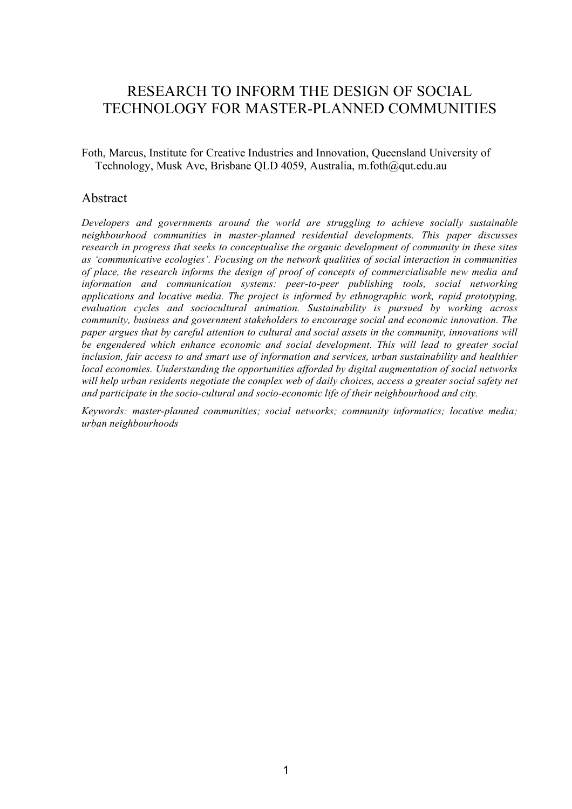## RESEARCH TO INFORM THE DESIGN OF SOCIAL TECHNOLOGY FOR MASTER-PLANNED COMMUNITIES

Foth, Marcus, Institute for Creative Industries and Innovation, Queensland University of Technology, Musk Ave, Brisbane QLD 4059, Australia, m.foth@qut.edu.au

#### Abstract

*Developers and governments around the world are struggling to achieve socially sustainable neighbourhood communities in master-planned residential developments. This paper discusses research in progress that seeks to conceptualise the organic development of community in these sites as 'communicative ecologies'. Focusing on the network qualities of social interaction in communities of place, the research informs the design of proof of concepts of commercialisable new media and information and communication systems: peer-to-peer publishing tools, social networking applications and locative media. The project is informed by ethnographic work, rapid prototyping, evaluation cycles and sociocultural animation. Sustainability is pursued by working across community, business and government stakeholders to encourage social and economic innovation. The paper argues that by careful attention to cultural and social assets in the community, innovations will be engendered which enhance economic and social development. This will lead to greater social inclusion, fair access to and smart use of information and services, urban sustainability and healthier local economies. Understanding the opportunities afforded by digital augmentation of social networks will help urban residents negotiate the complex web of daily choices, access a greater social safety net and participate in the socio-cultural and socio-economic life of their neighbourhood and city.*

*Keywords: master-planned communities; social networks; community informatics; locative media; urban neighbourhoods*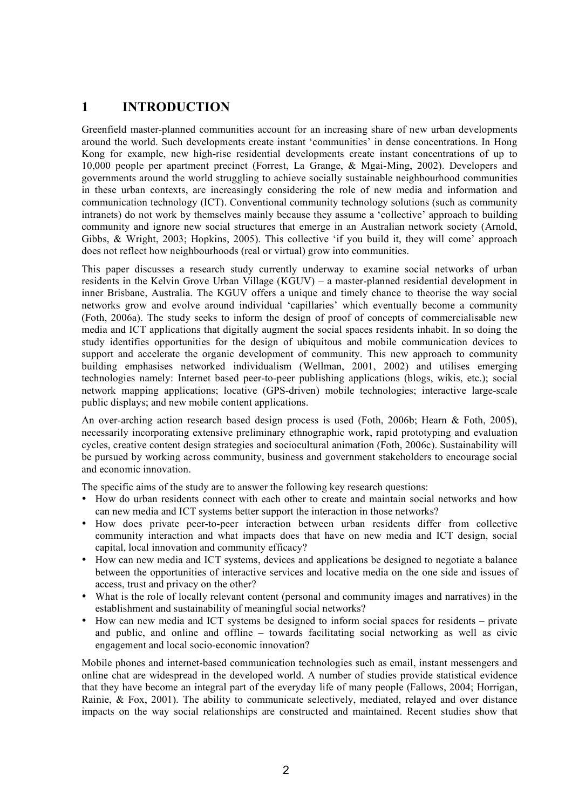## **1 INTRODUCTION**

Greenfield master-planned communities account for an increasing share of new urban developments around the world. Such developments create instant 'communities' in dense concentrations. In Hong Kong for example, new high-rise residential developments create instant concentrations of up to 10,000 people per apartment precinct (Forrest, La Grange, & Mgai-Ming, 2002). Developers and governments around the world struggling to achieve socially sustainable neighbourhood communities in these urban contexts, are increasingly considering the role of new media and information and communication technology (ICT). Conventional community technology solutions (such as community intranets) do not work by themselves mainly because they assume a 'collective' approach to building community and ignore new social structures that emerge in an Australian network society (Arnold, Gibbs, & Wright, 2003; Hopkins, 2005). This collective 'if you build it, they will come' approach does not reflect how neighbourhoods (real or virtual) grow into communities.

This paper discusses a research study currently underway to examine social networks of urban residents in the Kelvin Grove Urban Village (KGUV) – a master-planned residential development in inner Brisbane, Australia. The KGUV offers a unique and timely chance to theorise the way social networks grow and evolve around individual 'capillaries' which eventually become a community (Foth, 2006a). The study seeks to inform the design of proof of concepts of commercialisable new media and ICT applications that digitally augment the social spaces residents inhabit. In so doing the study identifies opportunities for the design of ubiquitous and mobile communication devices to support and accelerate the organic development of community. This new approach to community building emphasises networked individualism (Wellman, 2001, 2002) and utilises emerging technologies namely: Internet based peer-to-peer publishing applications (blogs, wikis, etc.); social network mapping applications; locative (GPS-driven) mobile technologies; interactive large-scale public displays; and new mobile content applications.

An over-arching action research based design process is used (Foth, 2006b; Hearn & Foth, 2005), necessarily incorporating extensive preliminary ethnographic work, rapid prototyping and evaluation cycles, creative content design strategies and sociocultural animation (Foth, 2006c). Sustainability will be pursued by working across community, business and government stakeholders to encourage social and economic innovation.

The specific aims of the study are to answer the following key research questions:

- How do urban residents connect with each other to create and maintain social networks and how can new media and ICT systems better support the interaction in those networks?
- How does private peer-to-peer interaction between urban residents differ from collective community interaction and what impacts does that have on new media and ICT design, social capital, local innovation and community efficacy?
- How can new media and ICT systems, devices and applications be designed to negotiate a balance between the opportunities of interactive services and locative media on the one side and issues of access, trust and privacy on the other?
- What is the role of locally relevant content (personal and community images and narratives) in the establishment and sustainability of meaningful social networks?
- How can new media and ICT systems be designed to inform social spaces for residents private and public, and online and offline – towards facilitating social networking as well as civic engagement and local socio-economic innovation?

Mobile phones and internet-based communication technologies such as email, instant messengers and online chat are widespread in the developed world. A number of studies provide statistical evidence that they have become an integral part of the everyday life of many people (Fallows, 2004; Horrigan, Rainie, & Fox, 2001). The ability to communicate selectively, mediated, relayed and over distance impacts on the way social relationships are constructed and maintained. Recent studies show that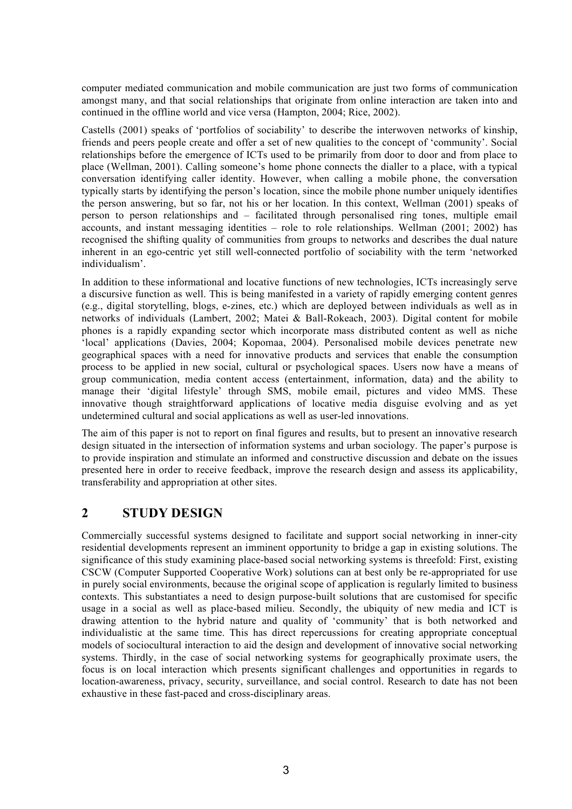computer mediated communication and mobile communication are just two forms of communication amongst many, and that social relationships that originate from online interaction are taken into and continued in the offline world and vice versa (Hampton, 2004; Rice, 2002).

Castells (2001) speaks of 'portfolios of sociability' to describe the interwoven networks of kinship, friends and peers people create and offer a set of new qualities to the concept of 'community'. Social relationships before the emergence of ICTs used to be primarily from door to door and from place to place (Wellman, 2001). Calling someone's home phone connects the dialler to a place, with a typical conversation identifying caller identity. However, when calling a mobile phone, the conversation typically starts by identifying the person's location, since the mobile phone number uniquely identifies the person answering, but so far, not his or her location. In this context, Wellman (2001) speaks of person to person relationships and – facilitated through personalised ring tones, multiple email accounts, and instant messaging identities – role to role relationships. Wellman (2001; 2002) has recognised the shifting quality of communities from groups to networks and describes the dual nature inherent in an ego-centric yet still well-connected portfolio of sociability with the term 'networked individualism'.

In addition to these informational and locative functions of new technologies, ICTs increasingly serve a discursive function as well. This is being manifested in a variety of rapidly emerging content genres (e.g., digital storytelling, blogs, e-zines, etc.) which are deployed between individuals as well as in networks of individuals (Lambert, 2002; Matei & Ball-Rokeach, 2003). Digital content for mobile phones is a rapidly expanding sector which incorporate mass distributed content as well as niche 'local' applications (Davies, 2004; Kopomaa, 2004). Personalised mobile devices penetrate new geographical spaces with a need for innovative products and services that enable the consumption process to be applied in new social, cultural or psychological spaces. Users now have a means of group communication, media content access (entertainment, information, data) and the ability to manage their 'digital lifestyle' through SMS, mobile email, pictures and video MMS. These innovative though straightforward applications of locative media disguise evolving and as yet undetermined cultural and social applications as well as user-led innovations.

The aim of this paper is not to report on final figures and results, but to present an innovative research design situated in the intersection of information systems and urban sociology. The paper's purpose is to provide inspiration and stimulate an informed and constructive discussion and debate on the issues presented here in order to receive feedback, improve the research design and assess its applicability, transferability and appropriation at other sites.

## **2 STUDY DESIGN**

Commercially successful systems designed to facilitate and support social networking in inner-city residential developments represent an imminent opportunity to bridge a gap in existing solutions. The significance of this study examining place-based social networking systems is threefold: First, existing CSCW (Computer Supported Cooperative Work) solutions can at best only be re-appropriated for use in purely social environments, because the original scope of application is regularly limited to business contexts. This substantiates a need to design purpose-built solutions that are customised for specific usage in a social as well as place-based milieu. Secondly, the ubiquity of new media and ICT is drawing attention to the hybrid nature and quality of 'community' that is both networked and individualistic at the same time. This has direct repercussions for creating appropriate conceptual models of sociocultural interaction to aid the design and development of innovative social networking systems. Thirdly, in the case of social networking systems for geographically proximate users, the focus is on local interaction which presents significant challenges and opportunities in regards to location-awareness, privacy, security, surveillance, and social control. Research to date has not been exhaustive in these fast-paced and cross-disciplinary areas.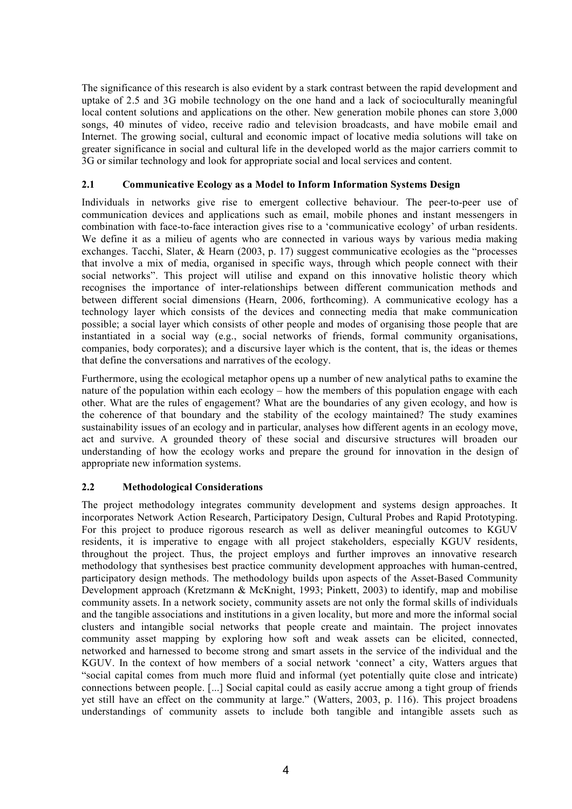The significance of this research is also evident by a stark contrast between the rapid development and uptake of 2.5 and 3G mobile technology on the one hand and a lack of socioculturally meaningful local content solutions and applications on the other. New generation mobile phones can store 3,000 songs, 40 minutes of video, receive radio and television broadcasts, and have mobile email and Internet. The growing social, cultural and economic impact of locative media solutions will take on greater significance in social and cultural life in the developed world as the major carriers commit to 3G or similar technology and look for appropriate social and local services and content.

#### **2.1 Communicative Ecology as a Model to Inform Information Systems Design**

Individuals in networks give rise to emergent collective behaviour. The peer-to-peer use of communication devices and applications such as email, mobile phones and instant messengers in combination with face-to-face interaction gives rise to a 'communicative ecology' of urban residents. We define it as a milieu of agents who are connected in various ways by various media making exchanges. Tacchi, Slater, & Hearn (2003, p. 17) suggest communicative ecologies as the "processes that involve a mix of media, organised in specific ways, through which people connect with their social networks". This project will utilise and expand on this innovative holistic theory which recognises the importance of inter-relationships between different communication methods and between different social dimensions (Hearn, 2006, forthcoming). A communicative ecology has a technology layer which consists of the devices and connecting media that make communication possible; a social layer which consists of other people and modes of organising those people that are instantiated in a social way (e.g., social networks of friends, formal community organisations, companies, body corporates); and a discursive layer which is the content, that is, the ideas or themes that define the conversations and narratives of the ecology.

Furthermore, using the ecological metaphor opens up a number of new analytical paths to examine the nature of the population within each ecology – how the members of this population engage with each other. What are the rules of engagement? What are the boundaries of any given ecology, and how is the coherence of that boundary and the stability of the ecology maintained? The study examines sustainability issues of an ecology and in particular, analyses how different agents in an ecology move, act and survive. A grounded theory of these social and discursive structures will broaden our understanding of how the ecology works and prepare the ground for innovation in the design of appropriate new information systems.

#### **2.2 Methodological Considerations**

The project methodology integrates community development and systems design approaches. It incorporates Network Action Research, Participatory Design, Cultural Probes and Rapid Prototyping. For this project to produce rigorous research as well as deliver meaningful outcomes to KGUV residents, it is imperative to engage with all project stakeholders, especially KGUV residents, throughout the project. Thus, the project employs and further improves an innovative research methodology that synthesises best practice community development approaches with human-centred, participatory design methods. The methodology builds upon aspects of the Asset-Based Community Development approach (Kretzmann & McKnight, 1993; Pinkett, 2003) to identify, map and mobilise community assets. In a network society, community assets are not only the formal skills of individuals and the tangible associations and institutions in a given locality, but more and more the informal social clusters and intangible social networks that people create and maintain. The project innovates community asset mapping by exploring how soft and weak assets can be elicited, connected, networked and harnessed to become strong and smart assets in the service of the individual and the KGUV. In the context of how members of a social network 'connect' a city, Watters argues that "social capital comes from much more fluid and informal (yet potentially quite close and intricate) connections between people. [...] Social capital could as easily accrue among a tight group of friends yet still have an effect on the community at large." (Watters, 2003, p. 116). This project broadens understandings of community assets to include both tangible and intangible assets such as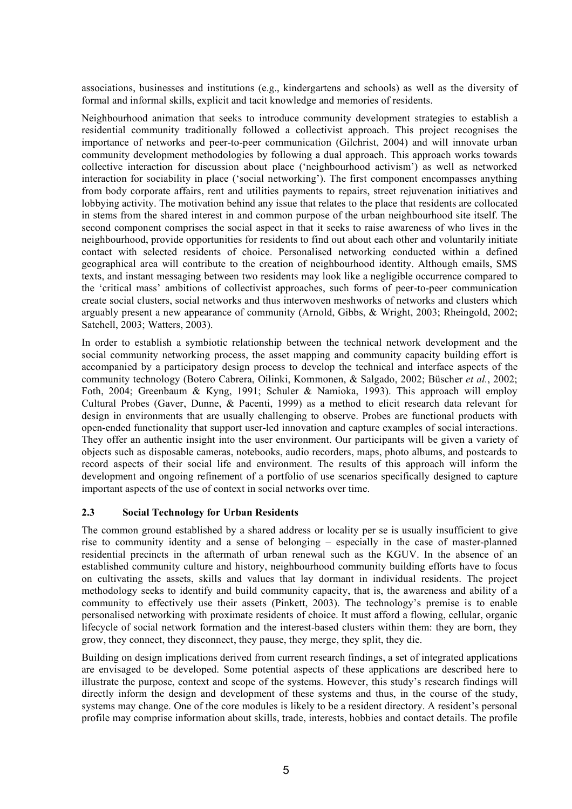associations, businesses and institutions (e.g., kindergartens and schools) as well as the diversity of formal and informal skills, explicit and tacit knowledge and memories of residents.

Neighbourhood animation that seeks to introduce community development strategies to establish a residential community traditionally followed a collectivist approach. This project recognises the importance of networks and peer-to-peer communication (Gilchrist, 2004) and will innovate urban community development methodologies by following a dual approach. This approach works towards collective interaction for discussion about place ('neighbourhood activism') as well as networked interaction for sociability in place ('social networking'). The first component encompasses anything from body corporate affairs, rent and utilities payments to repairs, street rejuvenation initiatives and lobbying activity. The motivation behind any issue that relates to the place that residents are collocated in stems from the shared interest in and common purpose of the urban neighbourhood site itself. The second component comprises the social aspect in that it seeks to raise awareness of who lives in the neighbourhood, provide opportunities for residents to find out about each other and voluntarily initiate contact with selected residents of choice. Personalised networking conducted within a defined geographical area will contribute to the creation of neighbourhood identity. Although emails, SMS texts, and instant messaging between two residents may look like a negligible occurrence compared to the 'critical mass' ambitions of collectivist approaches, such forms of peer-to-peer communication create social clusters, social networks and thus interwoven meshworks of networks and clusters which arguably present a new appearance of community (Arnold, Gibbs, & Wright, 2003; Rheingold, 2002; Satchell, 2003; Watters, 2003).

In order to establish a symbiotic relationship between the technical network development and the social community networking process, the asset mapping and community capacity building effort is accompanied by a participatory design process to develop the technical and interface aspects of the community technology (Botero Cabrera, Oilinki, Kommonen, & Salgado, 2002; Büscher *et al.*, 2002; Foth, 2004; Greenbaum & Kyng, 1991; Schuler & Namioka, 1993). This approach will employ Cultural Probes (Gaver, Dunne, & Pacenti, 1999) as a method to elicit research data relevant for design in environments that are usually challenging to observe. Probes are functional products with open-ended functionality that support user-led innovation and capture examples of social interactions. They offer an authentic insight into the user environment. Our participants will be given a variety of objects such as disposable cameras, notebooks, audio recorders, maps, photo albums, and postcards to record aspects of their social life and environment. The results of this approach will inform the development and ongoing refinement of a portfolio of use scenarios specifically designed to capture important aspects of the use of context in social networks over time.

#### **2.3 Social Technology for Urban Residents**

The common ground established by a shared address or locality per se is usually insufficient to give rise to community identity and a sense of belonging – especially in the case of master-planned residential precincts in the aftermath of urban renewal such as the KGUV. In the absence of an established community culture and history, neighbourhood community building efforts have to focus on cultivating the assets, skills and values that lay dormant in individual residents. The project methodology seeks to identify and build community capacity, that is, the awareness and ability of a community to effectively use their assets (Pinkett, 2003). The technology's premise is to enable personalised networking with proximate residents of choice. It must afford a flowing, cellular, organic lifecycle of social network formation and the interest-based clusters within them: they are born, they grow, they connect, they disconnect, they pause, they merge, they split, they die.

Building on design implications derived from current research findings, a set of integrated applications are envisaged to be developed. Some potential aspects of these applications are described here to illustrate the purpose, context and scope of the systems. However, this study's research findings will directly inform the design and development of these systems and thus, in the course of the study, systems may change. One of the core modules is likely to be a resident directory. A resident's personal profile may comprise information about skills, trade, interests, hobbies and contact details. The profile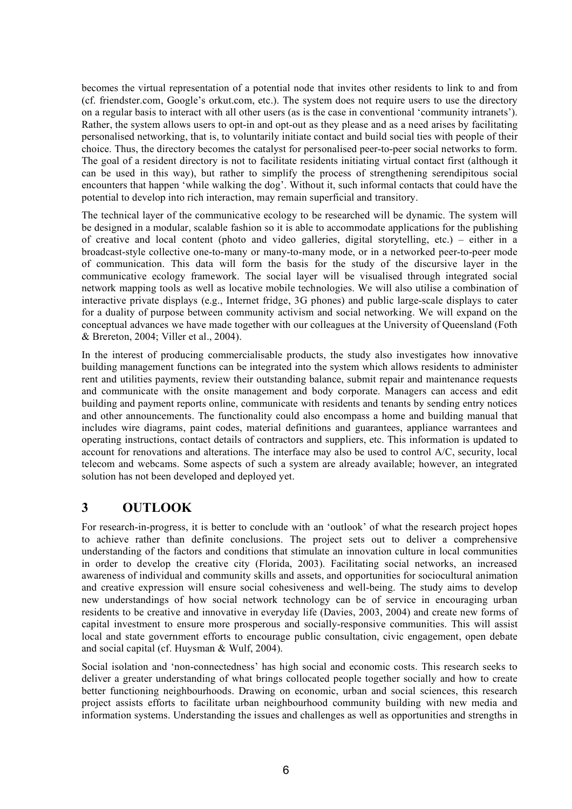becomes the virtual representation of a potential node that invites other residents to link to and from (cf. friendster.com, Google's orkut.com, etc.). The system does not require users to use the directory on a regular basis to interact with all other users (as is the case in conventional 'community intranets'). Rather, the system allows users to opt-in and opt-out as they please and as a need arises by facilitating personalised networking, that is, to voluntarily initiate contact and build social ties with people of their choice. Thus, the directory becomes the catalyst for personalised peer-to-peer social networks to form. The goal of a resident directory is not to facilitate residents initiating virtual contact first (although it can be used in this way), but rather to simplify the process of strengthening serendipitous social encounters that happen 'while walking the dog'. Without it, such informal contacts that could have the potential to develop into rich interaction, may remain superficial and transitory.

The technical layer of the communicative ecology to be researched will be dynamic. The system will be designed in a modular, scalable fashion so it is able to accommodate applications for the publishing of creative and local content (photo and video galleries, digital storytelling, etc.) – either in a broadcast-style collective one-to-many or many-to-many mode, or in a networked peer-to-peer mode of communication. This data will form the basis for the study of the discursive layer in the communicative ecology framework. The social layer will be visualised through integrated social network mapping tools as well as locative mobile technologies. We will also utilise a combination of interactive private displays (e.g., Internet fridge, 3G phones) and public large-scale displays to cater for a duality of purpose between community activism and social networking. We will expand on the conceptual advances we have made together with our colleagues at the University of Queensland (Foth & Brereton, 2004; Viller et al., 2004).

In the interest of producing commercialisable products, the study also investigates how innovative building management functions can be integrated into the system which allows residents to administer rent and utilities payments, review their outstanding balance, submit repair and maintenance requests and communicate with the onsite management and body corporate. Managers can access and edit building and payment reports online, communicate with residents and tenants by sending entry notices and other announcements. The functionality could also encompass a home and building manual that includes wire diagrams, paint codes, material definitions and guarantees, appliance warrantees and operating instructions, contact details of contractors and suppliers, etc. This information is updated to account for renovations and alterations. The interface may also be used to control A/C, security, local telecom and webcams. Some aspects of such a system are already available; however, an integrated solution has not been developed and deployed yet.

## **3 OUTLOOK**

For research-in-progress, it is better to conclude with an 'outlook' of what the research project hopes to achieve rather than definite conclusions. The project sets out to deliver a comprehensive understanding of the factors and conditions that stimulate an innovation culture in local communities in order to develop the creative city (Florida, 2003). Facilitating social networks, an increased awareness of individual and community skills and assets, and opportunities for sociocultural animation and creative expression will ensure social cohesiveness and well-being. The study aims to develop new understandings of how social network technology can be of service in encouraging urban residents to be creative and innovative in everyday life (Davies, 2003, 2004) and create new forms of capital investment to ensure more prosperous and socially-responsive communities. This will assist local and state government efforts to encourage public consultation, civic engagement, open debate and social capital (cf. Huysman & Wulf, 2004).

Social isolation and 'non-connectedness' has high social and economic costs. This research seeks to deliver a greater understanding of what brings collocated people together socially and how to create better functioning neighbourhoods. Drawing on economic, urban and social sciences, this research project assists efforts to facilitate urban neighbourhood community building with new media and information systems. Understanding the issues and challenges as well as opportunities and strengths in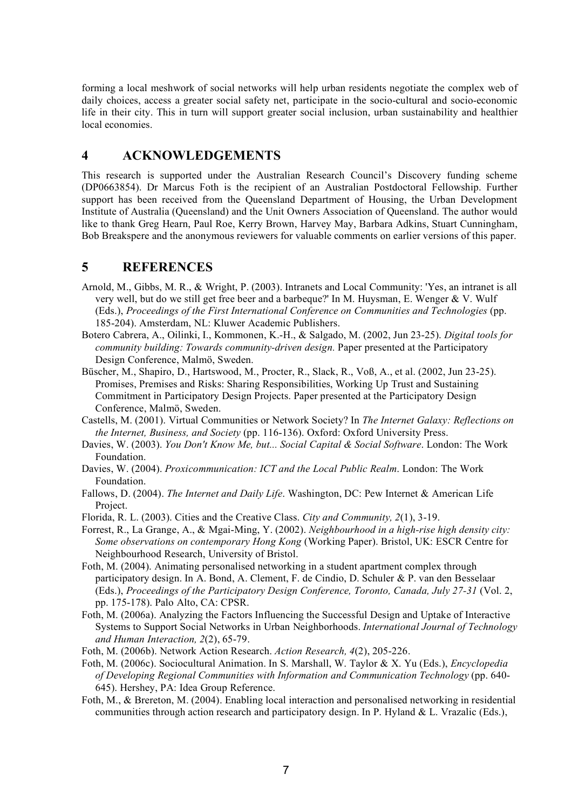forming a local meshwork of social networks will help urban residents negotiate the complex web of daily choices, access a greater social safety net, participate in the socio-cultural and socio-economic life in their city. This in turn will support greater social inclusion, urban sustainability and healthier local economies.

## **4 ACKNOWLEDGEMENTS**

This research is supported under the Australian Research Council's Discovery funding scheme (DP0663854). Dr Marcus Foth is the recipient of an Australian Postdoctoral Fellowship. Further support has been received from the Queensland Department of Housing, the Urban Development Institute of Australia (Queensland) and the Unit Owners Association of Queensland. The author would like to thank Greg Hearn, Paul Roe, Kerry Brown, Harvey May, Barbara Adkins, Stuart Cunningham, Bob Breakspere and the anonymous reviewers for valuable comments on earlier versions of this paper.

## **5 REFERENCES**

- Arnold, M., Gibbs, M. R., & Wright, P. (2003). Intranets and Local Community: 'Yes, an intranet is all very well, but do we still get free beer and a barbeque?' In M. Huysman, E. Wenger & V. Wulf (Eds.), *Proceedings of the First International Conference on Communities and Technologies* (pp. 185-204). Amsterdam, NL: Kluwer Academic Publishers.
- Botero Cabrera, A., Oilinki, I., Kommonen, K.-H., & Salgado, M. (2002, Jun 23-25). *Digital tools for community building: Towards community-driven design.* Paper presented at the Participatory Design Conference, Malmö, Sweden.
- Büscher, M., Shapiro, D., Hartswood, M., Procter, R., Slack, R., Voß, A., et al. (2002, Jun 23-25). Promises, Premises and Risks: Sharing Responsibilities, Working Up Trust and Sustaining Commitment in Participatory Design Projects. Paper presented at the Participatory Design Conference, Malmö, Sweden.
- Castells, M. (2001). Virtual Communities or Network Society? In *The Internet Galaxy: Reflections on the Internet, Business, and Society* (pp. 116-136). Oxford: Oxford University Press.
- Davies, W. (2003). *You Don't Know Me, but... Social Capital & Social Software*. London: The Work Foundation.
- Davies, W. (2004). *Proxicommunication: ICT and the Local Public Realm*. London: The Work Foundation.
- Fallows, D. (2004). *The Internet and Daily Life*. Washington, DC: Pew Internet & American Life Project.
- Florida, R. L. (2003). Cities and the Creative Class. *City and Community, 2*(1), 3-19.
- Forrest, R., La Grange, A., & Mgai-Ming, Y. (2002). *Neighbourhood in a high-rise high density city: Some observations on contemporary Hong Kong* (Working Paper). Bristol, UK: ESCR Centre for Neighbourhood Research, University of Bristol.
- Foth, M. (2004). Animating personalised networking in a student apartment complex through participatory design. In A. Bond, A. Clement, F. de Cindio, D. Schuler & P. van den Besselaar (Eds.), *Proceedings of the Participatory Design Conference, Toronto, Canada, July 27-31* (Vol. 2, pp. 175-178). Palo Alto, CA: CPSR.
- Foth, M. (2006a). Analyzing the Factors Influencing the Successful Design and Uptake of Interactive Systems to Support Social Networks in Urban Neighborhoods. *International Journal of Technology and Human Interaction, 2*(2), 65-79.
- Foth, M. (2006b). Network Action Research. *Action Research, 4*(2), 205-226.
- Foth, M. (2006c). Sociocultural Animation. In S. Marshall, W. Taylor & X. Yu (Eds.), *Encyclopedia of Developing Regional Communities with Information and Communication Technology* (pp. 640- 645). Hershey, PA: Idea Group Reference.
- Foth, M., & Brereton, M. (2004). Enabling local interaction and personalised networking in residential communities through action research and participatory design. In P. Hyland & L. Vrazalic (Eds.),